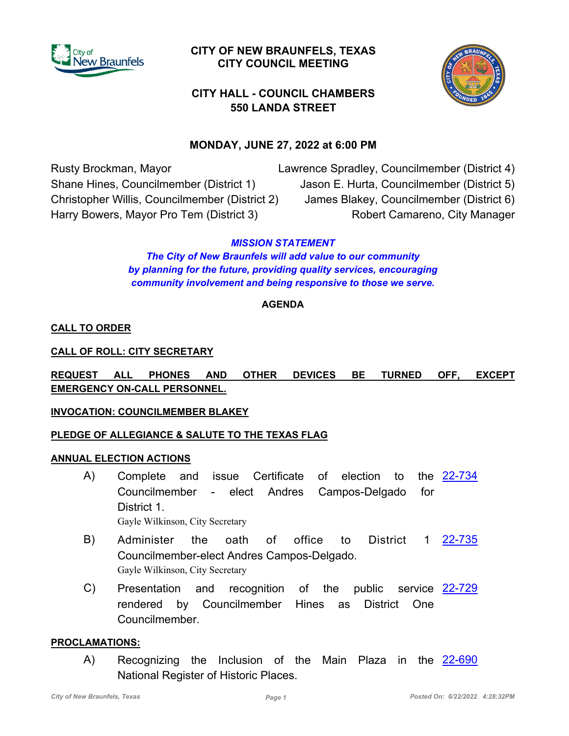

# **CITY OF NEW BRAUNFELS, TEXAS CITY COUNCIL MEETING**



# **CITY HALL - COUNCIL CHAMBERS 550 LANDA STREET**

# **MONDAY, JUNE 27, 2022 at 6:00 PM**

Rusty Brockman, Mayor Shane Hines, Councilmember (District 1) Christopher Willis, Councilmember (District 2) Harry Bowers, Mayor Pro Tem (District 3)

Lawrence Spradley, Councilmember (District 4) Jason E. Hurta, Councilmember (District 5) James Blakey, Councilmember (District 6) Robert Camareno, City Manager

### *MISSION STATEMENT*

*The City of New Braunfels will add value to our community by planning for the future, providing quality services, encouraging community involvement and being responsive to those we serve.*

### **AGENDA**

### **CALL TO ORDER**

**CALL OF ROLL: CITY SECRETARY**

## **REQUEST ALL PHONES AND OTHER DEVICES BE TURNED OFF, EXCEPT EMERGENCY ON-CALL PERSONNEL.**

### **INVOCATION: COUNCILMEMBER BLAKEY**

### **PLEDGE OF ALLEGIANCE & SALUTE TO THE TEXAS FLAG**

#### **ANNUAL ELECTION ACTIONS**

- Complete and issue Certificate of election to Councilmember - elect Andres Campos-Delgado for District 1. A) Complete and issue Certificate of election to the [22-734](http://newbraunfels.legistar.com/gateway.aspx?m=l&id=/matter.aspx?key=10749) Gayle Wilkinson, City Secretary
- B) Administer the oath of office to District 1 <u>[22-735](http://newbraunfels.legistar.com/gateway.aspx?m=l&id=/matter.aspx?key=10750)</u> Councilmember-elect Andres Campos-Delgado. Gayle Wilkinson, City Secretary
- Presentation and recognition of the public rendered by Councilmember Hines as District One Councilmember. C) Presentation and recognition of the public service [22-729](http://newbraunfels.legistar.com/gateway.aspx?m=l&id=/matter.aspx?key=10744)

#### **PROCLAMATIONS:**

A) Recognizing the Inclusion of the Main Plaza in the <u>[22-690](http://newbraunfels.legistar.com/gateway.aspx?m=l&id=/matter.aspx?key=10705)</u> National Register of Historic Places.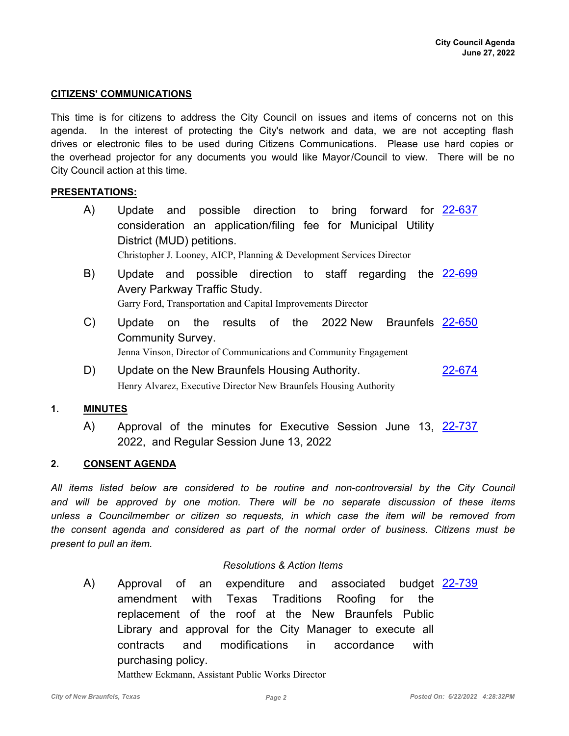#### **CITIZENS' COMMUNICATIONS**

This time is for citizens to address the City Council on issues and items of concerns not on this agenda. In the interest of protecting the City's network and data, we are not accepting flash drives or electronic files to be used during Citizens Communications. Please use hard copies or the overhead projector for any documents you would like Mayor/Council to view. There will be no City Council action at this time.

#### **PRESENTATIONS:**

- A) Update and possible direction to bring forward for [22-637](http://newbraunfels.legistar.com/gateway.aspx?m=l&id=/matter.aspx?key=10651) consideration an application/filing fee for Municipal Utility District (MUD) petitions. Christopher J. Looney, AICP, Planning & Development Services Director
- B) Update and possible direction to staff regarding the [22-699](http://newbraunfels.legistar.com/gateway.aspx?m=l&id=/matter.aspx?key=10714) Avery Parkway Traffic Study. Garry Ford, Transportation and Capital Improvements Director
- C) Update on the results of the 2022 New Braunfels [22-650](http://newbraunfels.legistar.com/gateway.aspx?m=l&id=/matter.aspx?key=10664) Community Survey. Jenna Vinson, Director of Communications and Community Engagement
- D) Update on the New Braunfels Housing Authority. [22-674](http://newbraunfels.legistar.com/gateway.aspx?m=l&id=/matter.aspx?key=10689) Henry Alvarez, Executive Director New Braunfels Housing Authority

#### **1. MINUTES**

A) Approval of the minutes for Executive Session June 13, [22-737](http://newbraunfels.legistar.com/gateway.aspx?m=l&id=/matter.aspx?key=10752) 2022, and Regular Session June 13, 2022

#### **2. CONSENT AGENDA**

*All items listed below are considered to be routine and non-controversial by the City Council and will be approved by one motion. There will be no separate discussion of these items unless a Councilmember or citizen so requests, in which case the item will be removed from the consent agenda and considered as part of the normal order of business. Citizens must be present to pull an item.*

#### *Resolutions & Action Items*

A) Approval of an expenditure and associated budget [22-739](http://newbraunfels.legistar.com/gateway.aspx?m=l&id=/matter.aspx?key=10755) amendment with Texas Traditions Roofing for the replacement of the roof at the New Braunfels Public Library and approval for the City Manager to execute all contracts and modifications in accordance with purchasing policy.

Matthew Eckmann, Assistant Public Works Director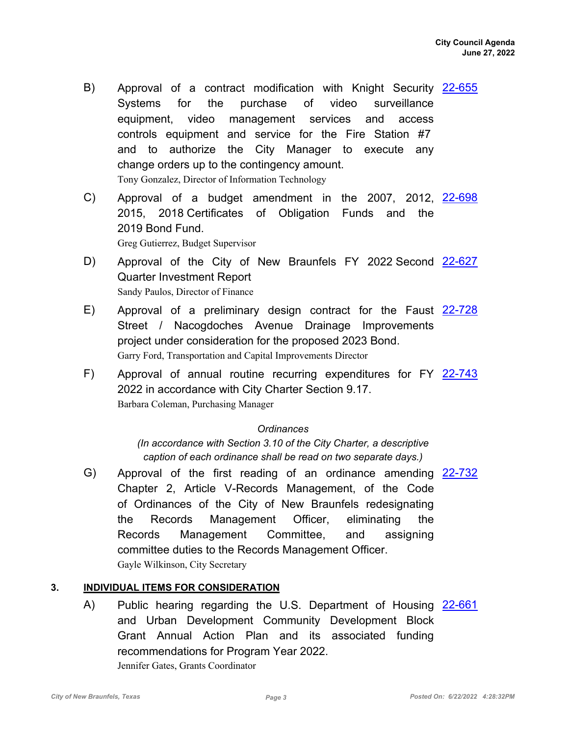- B) Approval of a contract modification with Knight Security [22-655](http://newbraunfels.legistar.com/gateway.aspx?m=l&id=/matter.aspx?key=10670) Systems for the purchase of video surveillance equipment, video management services and access controls equipment and service for the Fire Station #7 and to authorize the City Manager to execute any change orders up to the contingency amount. Tony Gonzalez, Director of Information Technology
- C) Approval of a budget amendment in the 2007, 2012, [22-698](http://newbraunfels.legistar.com/gateway.aspx?m=l&id=/matter.aspx?key=10713) 2015, 2018 Certificates of Obligation Funds and the 2019 Bond Fund. Greg Gutierrez, Budget Supervisor
- D) Approval of the City of New Braunfels FY 2022 Second [22-627](http://newbraunfels.legistar.com/gateway.aspx?m=l&id=/matter.aspx?key=10641) Quarter Investment Report Sandy Paulos, Director of Finance
- E) Approval of a preliminary design contract for the Faust [22-728](http://newbraunfels.legistar.com/gateway.aspx?m=l&id=/matter.aspx?key=10743) Street / Nacogdoches Avenue Drainage Improvements project under consideration for the proposed 2023 Bond. Garry Ford, Transportation and Capital Improvements Director
- F) Approval of annual routine recurring expenditures for FY [22-743](http://newbraunfels.legistar.com/gateway.aspx?m=l&id=/matter.aspx?key=10758) 2022 in accordance with City Charter Section 9.17. Barbara Coleman, Purchasing Manager

#### *Ordinances*

*(In accordance with Section 3.10 of the City Charter, a descriptive caption of each ordinance shall be read on two separate days.)*

G) Approval of the first reading of an ordinance amending [22-732](http://newbraunfels.legistar.com/gateway.aspx?m=l&id=/matter.aspx?key=10747) Chapter 2, Article V-Records Management, of the Code of Ordinances of the City of New Braunfels redesignating the Records Management Officer, eliminating the Records Management Committee, and assigning committee duties to the Records Management Officer. Gayle Wilkinson, City Secretary

### **3. INDIVIDUAL ITEMS FOR CONSIDERATION**

A) Public hearing regarding the U.S. Department of Housing [22-661](http://newbraunfels.legistar.com/gateway.aspx?m=l&id=/matter.aspx?key=10676) and Urban Development Community Development Block Grant Annual Action Plan and its associated funding recommendations for Program Year 2022. Jennifer Gates, Grants Coordinator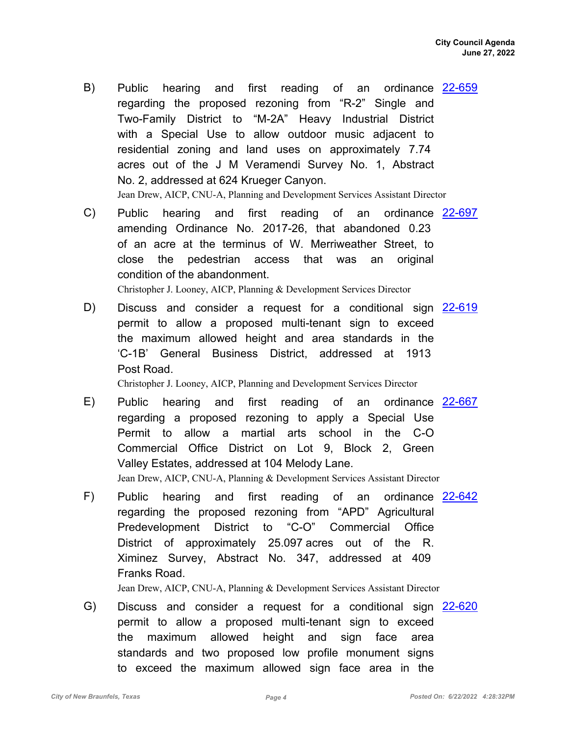- B) Public hearing and first reading of an ordinance [22-659](http://newbraunfels.legistar.com/gateway.aspx?m=l&id=/matter.aspx?key=10674) regarding the proposed rezoning from "R-2" Single and Two-Family District to "M-2A" Heavy Industrial District with a Special Use to allow outdoor music adjacent to residential zoning and land uses on approximately 7.74 acres out of the J M Veramendi Survey No. 1, Abstract No. 2, addressed at 624 Krueger Canyon. Jean Drew, AICP, CNU-A, Planning and Development Services Assistant Director
- C) Public hearing and first reading of an ordinance [22-697](http://newbraunfels.legistar.com/gateway.aspx?m=l&id=/matter.aspx?key=10712) amending Ordinance No. 2017-26, that abandoned 0.23 of an acre at the terminus of W. Merriweather Street, to close the pedestrian access that was an original condition of the abandonment. Christopher J. Looney, AICP, Planning & Development Services Director
- D) Discuss and consider a request for a conditional sign [22-619](http://newbraunfels.legistar.com/gateway.aspx?m=l&id=/matter.aspx?key=10632) permit to allow a proposed multi-tenant sign to exceed the maximum allowed height and area standards in the 'C-1B' General Business District, addressed at 1913 Post Road.

Christopher J. Looney, AICP, Planning and Development Services Director

- E) Public hearing and first reading of an ordinance [22-667](http://newbraunfels.legistar.com/gateway.aspx?m=l&id=/matter.aspx?key=10682) regarding a proposed rezoning to apply a Special Use Permit to allow a martial arts school in the C-O Commercial Office District on Lot 9, Block 2, Green Valley Estates, addressed at 104 Melody Lane. Jean Drew, AICP, CNU-A, Planning & Development Services Assistant Director
- F) Public hearing and first reading of an ordinance [22-642](http://newbraunfels.legistar.com/gateway.aspx?m=l&id=/matter.aspx?key=10656) regarding the proposed rezoning from "APD" Agricultural Predevelopment District to "C-O" Commercial Office District of approximately 25.097 acres out of the R. Ximinez Survey, Abstract No. 347, addressed at 409 Franks Road.

Jean Drew, AICP, CNU-A, Planning & Development Services Assistant Director

G) Discuss and consider a request for a conditional sign [22-620](http://newbraunfels.legistar.com/gateway.aspx?m=l&id=/matter.aspx?key=10633) permit to allow a proposed multi-tenant sign to exceed the maximum allowed height and sign face area standards and two proposed low profile monument signs to exceed the maximum allowed sign face area in the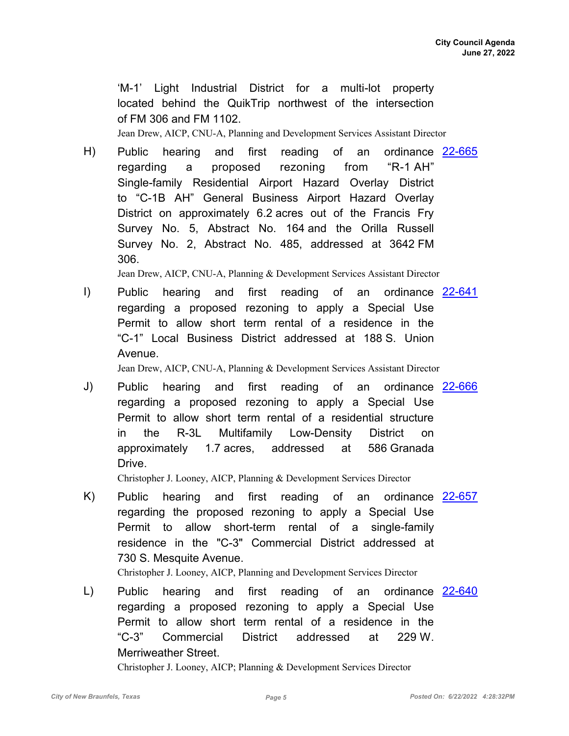'M-1' Light Industrial District for a multi-lot property located behind the QuikTrip northwest of the intersection of FM 306 and FM 1102.

Jean Drew, AICP, CNU-A, Planning and Development Services Assistant Director

H) Public hearing and first reading of an ordinance [22-665](http://newbraunfels.legistar.com/gateway.aspx?m=l&id=/matter.aspx?key=10680) regarding a proposed rezoning from "R-1 AH" Single-family Residential Airport Hazard Overlay District to "C-1B AH" General Business Airport Hazard Overlay District on approximately 6.2 acres out of the Francis Fry Survey No. 5, Abstract No. 164 and the Orilla Russell Survey No. 2, Abstract No. 485, addressed at 3642 FM 306.

Jean Drew, AICP, CNU-A, Planning & Development Services Assistant Director

I) Public hearing and first reading of an ordinance [22-641](http://newbraunfels.legistar.com/gateway.aspx?m=l&id=/matter.aspx?key=10655) regarding a proposed rezoning to apply a Special Use Permit to allow short term rental of a residence in the "C-1" Local Business District addressed at 188 S. Union Avenue.

Jean Drew, AICP, CNU-A, Planning & Development Services Assistant Director

Public hearing and first reading regarding a proposed rezoning to apply a Special Use Permit to allow short term rental of a residential structure in the R-3L Multifamily Low-Density District on approximately 1.7 acres, addressed at 586 Granada Drive. J) Public hearing and first reading of an ordinance [22-666](http://newbraunfels.legistar.com/gateway.aspx?m=l&id=/matter.aspx?key=10681)

Christopher J. Looney, AICP, Planning & Development Services Director

Public hearing and first reading of an regarding the proposed rezoning to apply a Special Use Permit to allow short-term rental of a single-family residence in the "C-3" Commercial District addressed at 730 S. Mesquite Avenue. K) Public hearing and first reading of an ordinance [22-657](http://newbraunfels.legistar.com/gateway.aspx?m=l&id=/matter.aspx?key=10672)

Christopher J. Looney, AICP, Planning and Development Services Director

L) Public hearing and first reading of an ordinance [22-640](http://newbraunfels.legistar.com/gateway.aspx?m=l&id=/matter.aspx?key=10654) regarding a proposed rezoning to apply a Special Use Permit to allow short term rental of a residence in the "C-3" Commercial District addressed at 229 W. Merriweather Street.

Christopher J. Looney, AICP; Planning & Development Services Director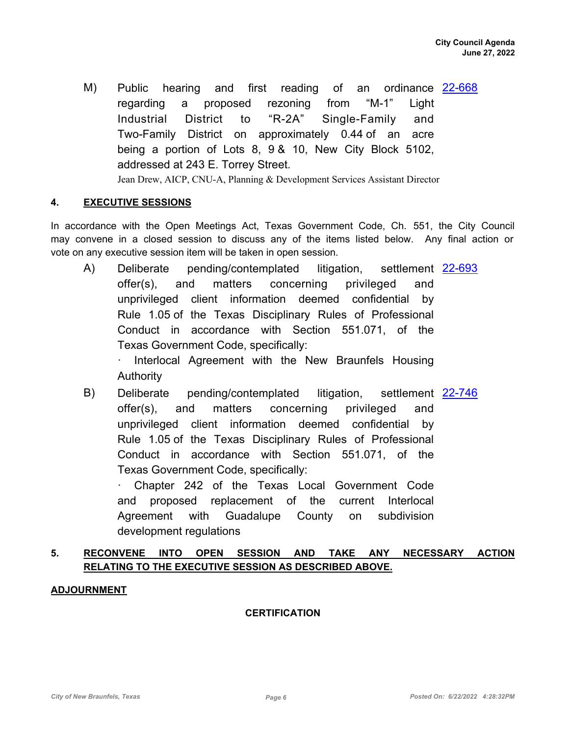M) Public hearing and first reading of an ordinance [22-668](http://newbraunfels.legistar.com/gateway.aspx?m=l&id=/matter.aspx?key=10683) regarding a proposed rezoning from "M-1" Light Industrial District to "R-2A" Single-Family and Two-Family District on approximately 0.44 of an acre being a portion of Lots 8, 9 & 10, New City Block 5102, addressed at 243 E. Torrey Street. Jean Drew, AICP, CNU-A, Planning & Development Services Assistant Director

#### **4. EXECUTIVE SESSIONS**

In accordance with the Open Meetings Act, Texas Government Code, Ch. 551, the City Council may convene in a closed session to discuss any of the items listed below. Any final action or vote on any executive session item will be taken in open session.

A) Deliberate pending/contemplated litigation, settlement <u>[22-693](http://newbraunfels.legistar.com/gateway.aspx?m=l&id=/matter.aspx?key=10709)</u> offer(s), and matters concerning privileged and unprivileged client information deemed confidential by Rule 1.05 of the Texas Disciplinary Rules of Professional Conduct in accordance with Section 551.071, of the Texas Government Code, specifically:

Interlocal Agreement with the New Braunfels Housing **Authority** 

B) Deliberate pending/contemplated litigation, settlement [22-746](http://newbraunfels.legistar.com/gateway.aspx?m=l&id=/matter.aspx?key=10761) offer(s), and matters concerning privileged and unprivileged client information deemed confidential by Rule 1.05 of the Texas Disciplinary Rules of Professional Conduct in accordance with Section 551.071, of the Texas Government Code, specifically:

Chapter 242 of the Texas Local Government Code and proposed replacement of the current Interlocal Agreement with Guadalupe County on subdivision development regulations

### **5. RECONVENE INTO OPEN SESSION AND TAKE ANY NECESSARY ACTION RELATING TO THE EXECUTIVE SESSION AS DESCRIBED ABOVE.**

### **ADJOURNMENT**

#### **CERTIFICATION**